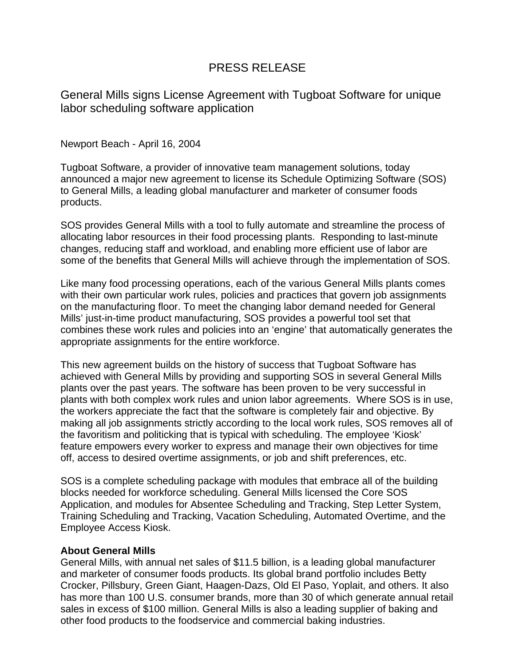## PRESS RELEASE

General Mills signs License Agreement with Tugboat Software for unique labor scheduling software application

Newport Beach - April 16, 2004

Tugboat Software, a provider of innovative team management solutions, today announced a major new agreement to license its Schedule Optimizing Software (SOS) to General Mills, a leading global manufacturer and marketer of consumer foods products.

SOS provides General Mills with a tool to fully automate and streamline the process of allocating labor resources in their food processing plants. Responding to last-minute changes, reducing staff and workload, and enabling more efficient use of labor are some of the benefits that General Mills will achieve through the implementation of SOS.

Like many food processing operations, each of the various General Mills plants comes with their own particular work rules, policies and practices that govern job assignments on the manufacturing floor. To meet the changing labor demand needed for General Mills' just-in-time product manufacturing, SOS provides a powerful tool set that combines these work rules and policies into an 'engine' that automatically generates the appropriate assignments for the entire workforce.

This new agreement builds on the history of success that Tugboat Software has achieved with General Mills by providing and supporting SOS in several General Mills plants over the past years. The software has been proven to be very successful in plants with both complex work rules and union labor agreements. Where SOS is in use, the workers appreciate the fact that the software is completely fair and objective. By making all job assignments strictly according to the local work rules, SOS removes all of the favoritism and politicking that is typical with scheduling. The employee 'Kiosk' feature empowers every worker to express and manage their own objectives for time off, access to desired overtime assignments, or job and shift preferences, etc.

SOS is a complete scheduling package with modules that embrace all of the building blocks needed for workforce scheduling. General Mills licensed the Core SOS Application, and modules for Absentee Scheduling and Tracking, Step Letter System, Training Scheduling and Tracking, Vacation Scheduling, Automated Overtime, and the Employee Access Kiosk.

## **About General Mills**

General Mills, with annual net sales of \$11.5 billion, is a leading global manufacturer and marketer of consumer foods products. Its global brand portfolio includes Betty Crocker, Pillsbury, Green Giant, Haagen-Dazs, Old El Paso, Yoplait, and others. It also has more than 100 U.S. consumer brands, more than 30 of which generate annual retail sales in excess of \$100 million. General Mills is also a leading supplier of baking and other food products to the foodservice and commercial baking industries.